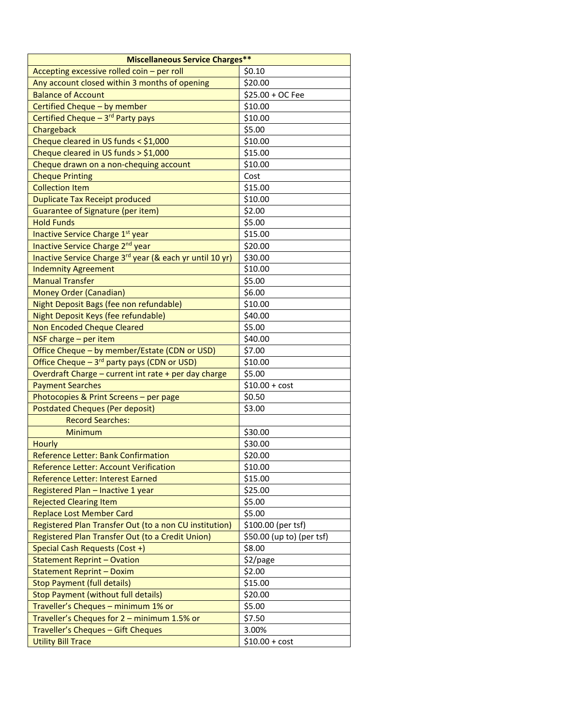| <b>Miscellaneous Service Charges**</b>                                           |                           |  |
|----------------------------------------------------------------------------------|---------------------------|--|
| Accepting excessive rolled coin - per roll                                       | \$0.10                    |  |
| Any account closed within 3 months of opening                                    | \$20.00                   |  |
| <b>Balance of Account</b>                                                        | \$25.00 + OC Fee          |  |
| Certified Cheque - by member                                                     | \$10.00                   |  |
| Certified Cheque - 3rd Party pays                                                | \$10.00                   |  |
| Chargeback                                                                       | \$5.00                    |  |
| Cheque cleared in US funds < \$1,000                                             | \$10.00                   |  |
| Cheque cleared in US funds $>$ \$1,000                                           | \$15.00                   |  |
| Cheque drawn on a non-chequing account                                           | \$10.00                   |  |
| <b>Cheque Printing</b>                                                           | Cost                      |  |
| <b>Collection Item</b>                                                           | \$15.00                   |  |
| <b>Duplicate Tax Receipt produced</b>                                            | \$10.00                   |  |
| Guarantee of Signature (per item)                                                | \$2.00                    |  |
| <b>Hold Funds</b>                                                                | \$5.00                    |  |
| Inactive Service Charge 1st year                                                 | \$15.00                   |  |
| Inactive Service Charge 2nd year                                                 | \$20.00                   |  |
| Inactive Service Charge 3rd year (& each yr until 10 yr)                         | \$30.00                   |  |
| <b>Indemnity Agreement</b>                                                       | \$10.00                   |  |
| <b>Manual Transfer</b>                                                           | \$5.00                    |  |
| Money Order (Canadian)                                                           | \$6.00                    |  |
| Night Deposit Bags (fee non refundable)                                          | \$10.00                   |  |
| Night Deposit Keys (fee refundable)                                              | \$40.00                   |  |
| Non Encoded Cheque Cleared                                                       | \$5.00                    |  |
| NSF charge - per item                                                            | \$40.00                   |  |
| Office Cheque - by member/Estate (CDN or USD)                                    | \$7.00                    |  |
| Office Cheque $-3^{rd}$ party pays (CDN or USD)                                  | \$10.00                   |  |
|                                                                                  | \$5.00                    |  |
| Overdraft Charge - current int rate + per day charge<br><b>Payment Searches</b>  | $$10.00 + cost$           |  |
|                                                                                  | \$0.50                    |  |
| Photocopies & Print Screens - per page<br><b>Postdated Cheques (Per deposit)</b> | \$3.00                    |  |
| <b>Record Searches:</b>                                                          |                           |  |
| <b>Minimum</b>                                                                   | \$30.00                   |  |
|                                                                                  |                           |  |
| Hourly                                                                           | \$30.00<br>\$20.00        |  |
| <b>Reference Letter: Bank Confirmation</b>                                       |                           |  |
| Reference Letter: Account Verification                                           | \$10.00                   |  |
| Reference Letter: Interest Earned                                                | \$15.00                   |  |
| Registered Plan - Inactive 1 year                                                | \$25.00                   |  |
| <b>Rejected Clearing Item</b>                                                    | \$5.00                    |  |
| <b>Replace Lost Member Card</b>                                                  | \$5.00                    |  |
| Registered Plan Transfer Out (to a non CU institution)                           | \$100.00 (per tsf)        |  |
| Registered Plan Transfer Out (to a Credit Union)                                 | \$50.00 (up to) (per tsf) |  |
| Special Cash Requests (Cost +)                                                   | \$8.00                    |  |
| <b>Statement Reprint - Ovation</b>                                               | \$2/page                  |  |
| <b>Statement Reprint - Doxim</b>                                                 | \$2.00                    |  |
| <b>Stop Payment (full details)</b>                                               | \$15.00                   |  |
| <b>Stop Payment (without full details)</b>                                       | \$20.00                   |  |
| Traveller's Cheques - minimum 1% or                                              | \$5.00                    |  |
| Traveller's Cheques for $2 -$ minimum 1.5% or                                    | \$7.50                    |  |
| Traveller's Cheques - Gift Cheques                                               | 3.00%                     |  |
| <b>Utility Bill Trace</b>                                                        | $$10.00 + cost$           |  |